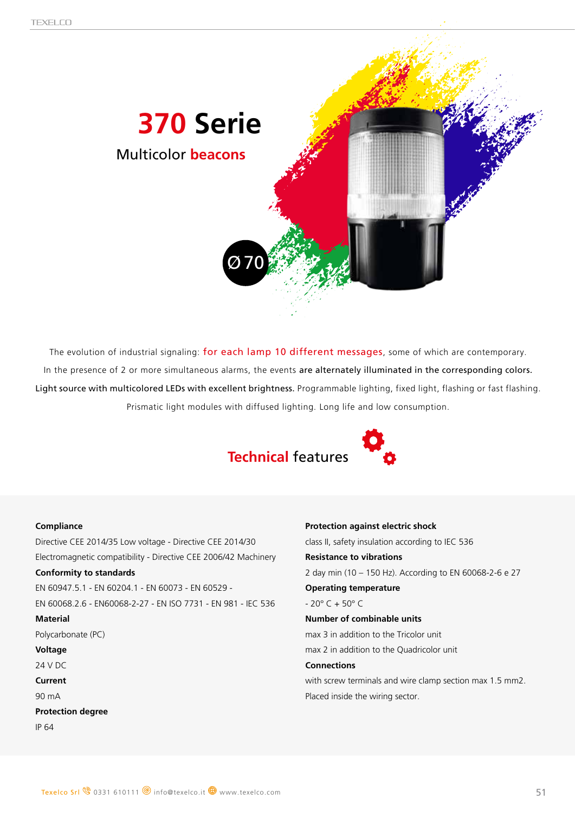

The evolution of industrial signaling: for each lamp 10 different messages, some of which are contemporary. In the presence of 2 or more simultaneous alarms, the events are alternately illuminated in the corresponding colors. Light source with multicolored LEDs with excellent brightness. Programmable lighting, fixed light, flashing or fast flashing. Prismatic light modules with diffused lighting. Long life and low consumption.



![](_page_0_Picture_4.jpeg)

### **Compliance**

Directive CEE 2014/35 Low voltage - Directive CEE 2014/30 Electromagnetic compatibility - Directive CEE 2006/42 Machinery

### **Conformity to standards**

EN 60947.5.1 - EN 60204.1 - EN 60073 - EN 60529 - EN 60068.2.6 - EN60068-2-27 - EN ISO 7731 - EN 981 - IEC 536

### **Material**

Polycarbonate (PC)

### **Voltage**

24 V DC

**Current**

90 mA

**Protection degree**

IP 64

#### **Protection against electric shock**

class II, safety insulation according to IEC 536

### **Resistance to vibrations**

2 day min (10 – 150 Hz). According to EN 60068-2-6 e 27

### **Operating temperature**

 $- 20^{\circ}$  C + 50° C

## **Number of combinable units**

max 3 in addition to the Tricolor unit max 2 in addition to the Quadricolor unit

### **Connections**

with screw terminals and wire clamp section max 1.5 mm2. Placed inside the wiring sector.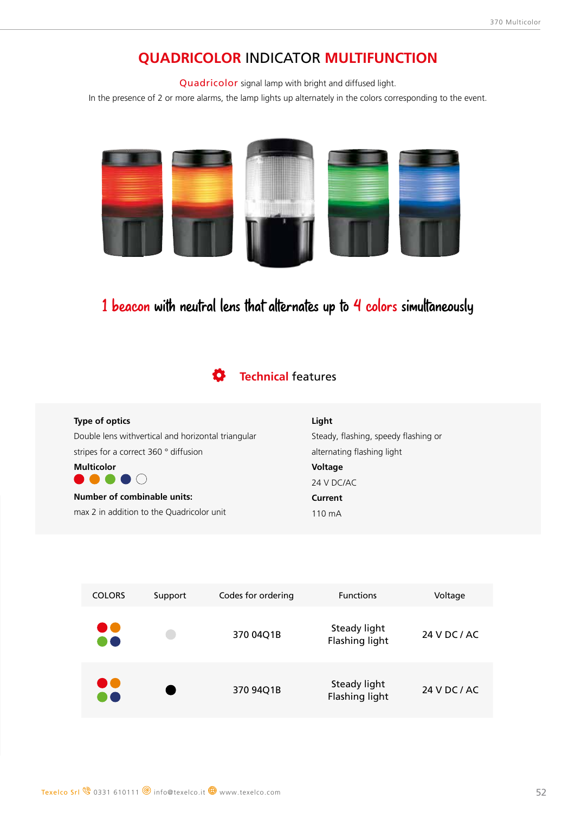## **QUADRICOLOR** INDICATOR **MULTIFUNCTION**

Quadricolor signal lamp with bright and diffused light.

In the presence of 2 or more alarms, the lamp lights up alternately in the colors corresponding to the event.

![](_page_1_Picture_4.jpeg)

# 1 beacon with neutral lens that alternates up to 4 colors simultaneously

#### **Technical** features Ö

| Type of optics                                     | Light                                |
|----------------------------------------------------|--------------------------------------|
| Double lens withvertical and horizontal triangular | Steady, flashing, speedy flashing or |
| stripes for a correct 360 ° diffusion              | alternating flashing light           |
| <b>Multicolor</b>                                  | <b>Voltage</b>                       |
|                                                    | 24 V DC/AC                           |
| <b>Number of combinable units:</b>                 | Current                              |
| max 2 in addition to the Quadricolor unit          | 110 mA                               |
|                                                    |                                      |

| <b>COLORS</b>          | Support | Codes for ordering | <b>Functions</b>               | Voltage      |
|------------------------|---------|--------------------|--------------------------------|--------------|
| $\bullet\bullet$<br>80 |         | 370 04Q1B          | Steady light<br>Flashing light | 24 V DC / AC |
| $\bullet\bullet$<br>60 |         | 370 94Q1B          | Steady light<br>Flashing light | 24 V DC / AC |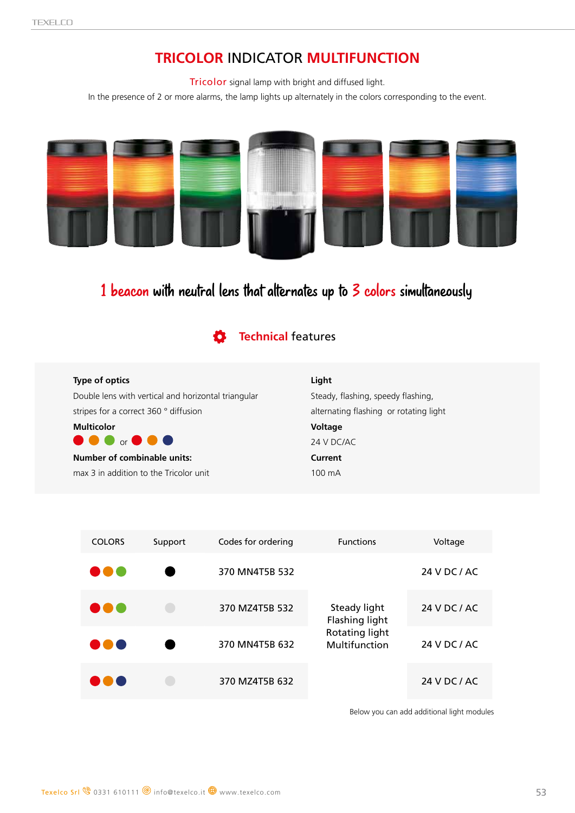# **TRICOLOR** INDICATOR **MULTIFUNCTION**

Tricolor signal lamp with bright and diffused light.

In the presence of 2 or more alarms, the lamp lights up alternately in the colors corresponding to the event.

![](_page_2_Picture_4.jpeg)

# 1 beacon with neutral lens that alternates up to 3 colors simultaneously

**Technical** features

## **Type of optics**

Double lens with vertical and horizontal triangular stripes for a correct 360 ° diffusion

![](_page_2_Picture_9.jpeg)

max 3 in addition to the Tricolor unit

## **Light**

Steady, flashing, speedy flashing, alternating flashing or rotating light **Voltage** 24 V DC/AC **Current** 100 mA

| <b>COLORS</b>   | Support | Codes for ordering | <b>Functions</b>                                                  | Voltage      |
|-----------------|---------|--------------------|-------------------------------------------------------------------|--------------|
| D O C           |         | 370 MN4T5B 532     | Steady light<br>Flashing light<br>Rotating light<br>Multifunction | 24 V DC / AC |
| <b>ISBN 978</b> |         | 370 MZ4T5B 532     |                                                                   | 24 V DC / AC |
| DO C            |         | 370 MN4T5B 632     |                                                                   | 24 V DC / AC |
|                 |         | 370 MZ4T5B 632     |                                                                   | 24 V DC / AC |

Below you can add additional light modules